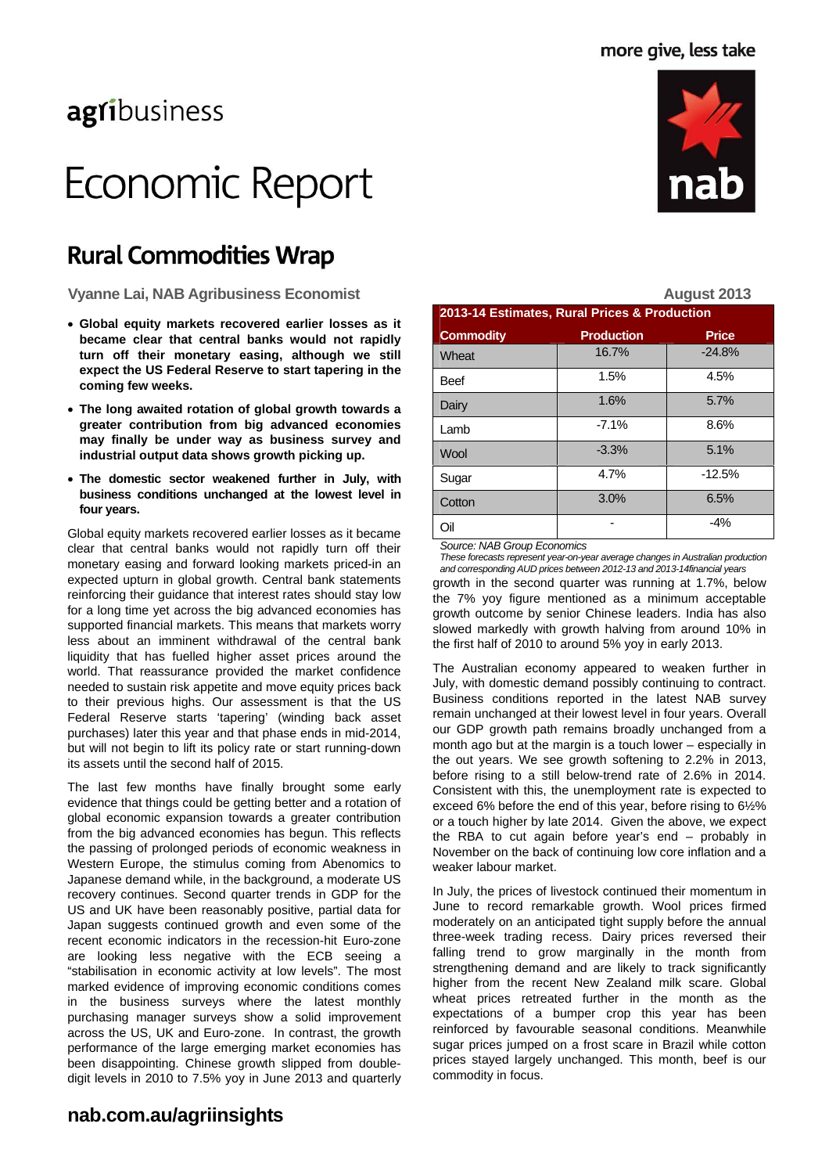## agribusiness

# Economic Report

### **Rural Commodities Wrap**

- **Global equity markets recovered earlier losses as it became clear that central banks would not rapidly turn off their monetary easing, although we still expect the US Federal Reserve to start tapering in the coming few weeks.**
- **The long awaited rotation of global growth towards a greater contribution from big advanced economies may finally be under way as business survey and industrial output data shows growth picking up.**
- **The domestic sector weakened further in July, with business conditions unchanged at the lowest level in four years.**

Global equity markets recovered earlier losses as it became clear that central banks would not rapidly turn off their monetary easing and forward looking markets priced-in an expected upturn in global growth. Central bank statements reinforcing their guidance that interest rates should stay low for a long time yet across the big advanced economies has supported financial markets. This means that markets worry less about an imminent withdrawal of the central bank liquidity that has fuelled higher asset prices around the world. That reassurance provided the market confidence needed to sustain risk appetite and move equity prices back to their previous highs. Our assessment is that the US Federal Reserve starts 'tapering' (winding back asset purchases) later this year and that phase ends in mid-2014, but will not begin to lift its policy rate or start running-down its assets until the second half of 2015.

The last few months have finally brought some early evidence that things could be getting better and a rotation of global economic expansion towards a greater contribution from the big advanced economies has begun. This reflects the passing of prolonged periods of economic weakness in Western Europe, the stimulus coming from Abenomics to Japanese demand while, in the background, a moderate US recovery continues. Second quarter trends in GDP for the US and UK have been reasonably positive, partial data for Japan suggests continued growth and even some of the recent economic indicators in the recession-hit Euro-zone are looking less negative with the ECB seeing a "stabilisation in economic activity at low levels". The most marked evidence of improving economic conditions comes in the business surveys where the latest monthly purchasing manager surveys show a solid improvement across the US, UK and Euro-zone. In contrast, the growth performance of the large emerging market economies has been disappointing. Chinese growth slipped from doubledigit levels in 2010 to 7.5% yoy in June 2013 and quarterly



*Source: NAB Group Economics* 

growth in the second quarter was running at 1.7%, below the 7% yoy figure mentioned as a minimum acceptable growth outcome by senior Chinese leaders. India has also slowed markedly with growth halving from around 10% in the first half of 2010 to around 5% yoy in early 2013. *These forecasts represent year-on-year average changes in Australian production and corresponding AUD prices between 2012-13 and 2013-14financial years* 

Oil - -4%

The Australian economy appeared to weaken further in July, with domestic demand possibly continuing to contract. Business conditions reported in the latest NAB survey remain unchanged at their lowest level in four years. Overall our GDP growth path remains broadly unchanged from a month ago but at the margin is a touch lower – especially in the out years. We see growth softening to 2.2% in 2013, before rising to a still below-trend rate of 2.6% in 2014. Consistent with this, the unemployment rate is expected to exceed 6% before the end of this year, before rising to 6½% or a touch higher by late 2014. Given the above, we expect the RBA to cut again before year's end – probably in November on the back of continuing low core inflation and a weaker labour market.

In July, the prices of livestock continued their momentum in June to record remarkable growth. Wool prices firmed moderately on an anticipated tight supply before the annual three-week trading recess. Dairy prices reversed their falling trend to grow marginally in the month from strengthening demand and are likely to track significantly higher from the recent New Zealand milk scare. Global wheat prices retreated further in the month as the expectations of a bumper crop this year has been reinforced by favourable seasonal conditions. Meanwhile sugar prices jumped on a frost scare in Brazil while cotton prices stayed largely unchanged. This month, beef is our commodity in focus.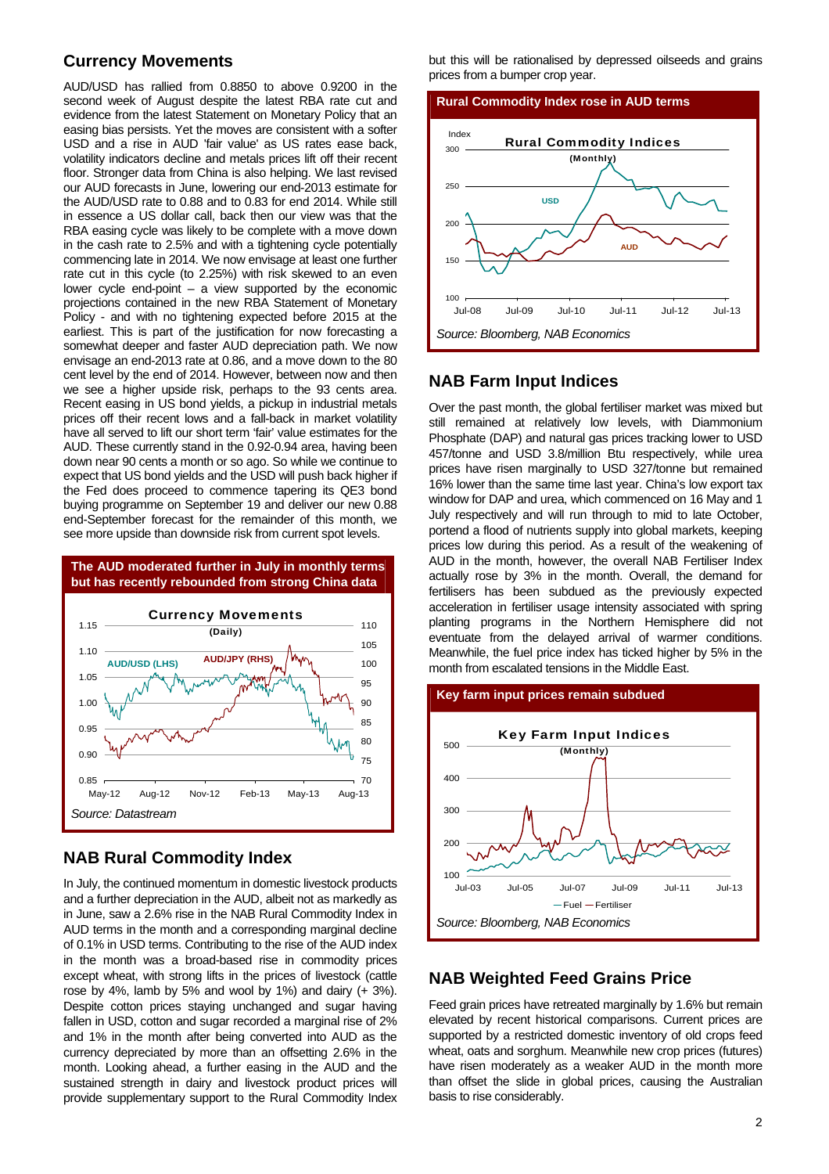### **Currency Movements**

AUD/USD has rallied from 0.8850 to above 0.9200 in the second week of August despite the latest RBA rate cut and evidence from the latest Statement on Monetary Policy that an easing bias persists. Yet the moves are consistent with a softer USD and a rise in AUD 'fair value' as US rates ease back, volatility indicators decline and metals prices lift off their recent floor. Stronger data from China is also helping. We last revised our AUD forecasts in June, lowering our end-2013 estimate for the AUD/USD rate to 0.88 and to 0.83 for end 2014. While still in essence a US dollar call, back then our view was that the RBA easing cycle was likely to be complete with a move down in the cash rate to 2.5% and with a tightening cycle potentially commencing late in 2014. We now envisage at least one further rate cut in this cycle (to 2.25%) with risk skewed to an even lower cycle end-point  $-$  a view supported by the economic projections contained in the new RBA Statement of Monetary Policy - and with no tightening expected before 2015 at the earliest. This is part of the justification for now forecasting a somewhat deeper and faster AUD depreciation path. We now envisage an end-2013 rate at 0.86, and a move down to the 80 cent level by the end of 2014. However, between now and then we see a higher upside risk, perhaps to the 93 cents area. Recent easing in US bond yields, a pickup in industrial metals prices off their recent lows and a fall-back in market volatility have all served to lift our short term 'fair' value estimates for the AUD. These currently stand in the 0.92-0.94 area, having been down near 90 cents a month or so ago. So while we continue to expect that US bond yields and the USD will push back higher if the Fed does proceed to commence tapering its QE3 bond buying programme on September 19 and deliver our new 0.88 end-September forecast for the remainder of this month, we see more upside than downside risk from current spot levels.



### **NAB Rural Commodity Index**

In July, the continued momentum in domestic livestock products and a further depreciation in the AUD, albeit not as markedly as in June, saw a 2.6% rise in the NAB Rural Commodity Index in AUD terms in the month and a corresponding marginal decline of 0.1% in USD terms. Contributing to the rise of the AUD index in the month was a broad-based rise in commodity prices except wheat, with strong lifts in the prices of livestock (cattle rose by 4%, lamb by 5% and wool by 1%) and dairy  $(+3\%)$ . Despite cotton prices staying unchanged and sugar having fallen in USD, cotton and sugar recorded a marginal rise of 2% and 1% in the month after being converted into AUD as the currency depreciated by more than an offsetting 2.6% in the month. Looking ahead, a further easing in the AUD and the sustained strength in dairy and livestock product prices will provide supplementary support to the Rural Commodity Index but this will be rationalised by depressed oilseeds and grains prices from a bumper crop year.



### **NAB Farm Input Indices**

Over the past month, the global fertiliser market was mixed but still remained at relatively low levels, with Diammonium Phosphate (DAP) and natural gas prices tracking lower to USD 457/tonne and USD 3.8/million Btu respectively, while urea prices have risen marginally to USD 327/tonne but remained 16% lower than the same time last year. China's low export tax window for DAP and urea, which commenced on 16 May and 1 July respectively and will run through to mid to late October, portend a flood of nutrients supply into global markets, keeping prices low during this period. As a result of the weakening of AUD in the month, however, the overall NAB Fertiliser Index actually rose by 3% in the month. Overall, the demand for fertilisers has been subdued as the previously expected acceleration in fertiliser usage intensity associated with spring planting programs in the Northern Hemisphere did not eventuate from the delayed arrival of warmer conditions. Meanwhile, the fuel price index has ticked higher by 5% in the month from escalated tensions in the Middle East.



### **NAB Weighted Feed Grains Price**

Feed grain prices have retreated marginally by 1.6% but remain elevated by recent historical comparisons. Current prices are supported by a restricted domestic inventory of old crops feed wheat, oats and sorghum. Meanwhile new crop prices (futures) have risen moderately as a weaker AUD in the month more than offset the slide in global prices, causing the Australian basis to rise considerably.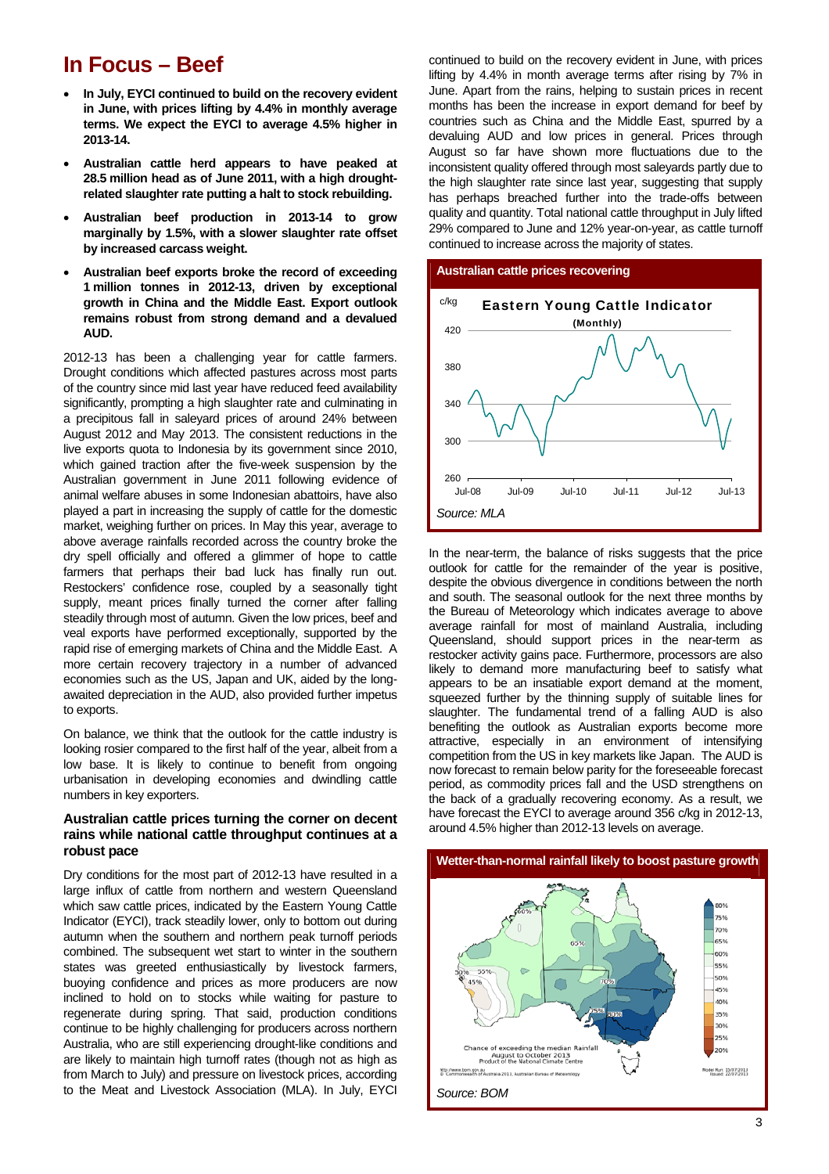### **In Focus – Beef**

- **In July, EYCI continued to build on the recovery evident in June, with prices lifting by 4.4% in monthly average terms. We expect the EYCI to average 4.5% higher in 2013-14.**
- **Australian cattle herd appears to have peaked at 28.5 million head as of June 2011, with a high droughtrelated slaughter rate putting a halt to stock rebuilding.**
- **Australian beef production in 2013-14 to grow marginally by 1.5%, with a slower slaughter rate offset by increased carcass weight.**
- **Australian beef exports broke the record of exceeding 1 million tonnes in 2012-13, driven by exceptional growth in China and the Middle East. Export outlook remains robust from strong demand and a devalued AUD.**

2012-13 has been a challenging year for cattle farmers. Drought conditions which affected pastures across most parts of the country since mid last year have reduced feed availability significantly, prompting a high slaughter rate and culminating in a precipitous fall in saleyard prices of around 24% between August 2012 and May 2013. The consistent reductions in the live exports quota to Indonesia by its government since 2010, which gained traction after the five-week suspension by the Australian government in June 2011 following evidence of animal welfare abuses in some Indonesian abattoirs, have also played a part in increasing the supply of cattle for the domestic market, weighing further on prices. In May this year, average to above average rainfalls recorded across the country broke the dry spell officially and offered a glimmer of hope to cattle farmers that perhaps their bad luck has finally run out. Restockers' confidence rose, coupled by a seasonally tight supply, meant prices finally turned the corner after falling steadily through most of autumn. Given the low prices, beef and veal exports have performed exceptionally, supported by the rapid rise of emerging markets of China and the Middle East. A more certain recovery trajectory in a number of advanced economies such as the US, Japan and UK, aided by the longawaited depreciation in the AUD, also provided further impetus to exports.

On balance, we think that the outlook for the cattle industry is looking rosier compared to the first half of the year, albeit from a low base. It is likely to continue to benefit from ongoing urbanisation in developing economies and dwindling cattle numbers in key exporters.

### **Australian cattle prices turning the corner on decent rains while national cattle throughput continues at a robust pace**

Dry conditions for the most part of 2012-13 have resulted in a large influx of cattle from northern and western Queensland which saw cattle prices, indicated by the Eastern Young Cattle Indicator (EYCI), track steadily lower, only to bottom out during autumn when the southern and northern peak turnoff periods combined. The subsequent wet start to winter in the southern states was greeted enthusiastically by livestock farmers, buoying confidence and prices as more producers are now inclined to hold on to stocks while waiting for pasture to regenerate during spring. That said, production conditions continue to be highly challenging for producers across northern Australia, who are still experiencing drought-like conditions and are likely to maintain high turnoff rates (though not as high as from March to July) and pressure on livestock prices, according to the Meat and Livestock Association (MLA). In July, EYCI

continued to build on the recovery evident in June, with prices lifting by 4.4% in month average terms after rising by 7% in June. Apart from the rains, helping to sustain prices in recent months has been the increase in export demand for beef by countries such as China and the Middle East, spurred by a devaluing AUD and low prices in general. Prices through August so far have shown more fluctuations due to the inconsistent quality offered through most saleyards partly due to the high slaughter rate since last year, suggesting that supply has perhaps breached further into the trade-offs between quality and quantity. Total national cattle throughput in July lifted 29% compared to June and 12% year-on-year, as cattle turnoff continued to increase across the majority of states.



In the near-term, the balance of risks suggests that the price outlook for cattle for the remainder of the year is positive, despite the obvious divergence in conditions between the north and south. The seasonal outlook for the next three months by the Bureau of Meteorology which indicates average to above average rainfall for most of mainland Australia, including Queensland, should support prices in the near-term as restocker activity gains pace. Furthermore, processors are also likely to demand more manufacturing beef to satisfy what appears to be an insatiable export demand at the moment, squeezed further by the thinning supply of suitable lines for slaughter. The fundamental trend of a falling AUD is also benefiting the outlook as Australian exports become more attractive, especially in an environment of intensifying competition from the US in key markets like Japan. The AUD is now forecast to remain below parity for the foreseeable forecast period, as commodity prices fall and the USD strengthens on the back of a gradually recovering economy. As a result, we have forecast the EYCI to average around 356 c/kg in 2012-13, around 4.5% higher than 2012-13 levels on average.

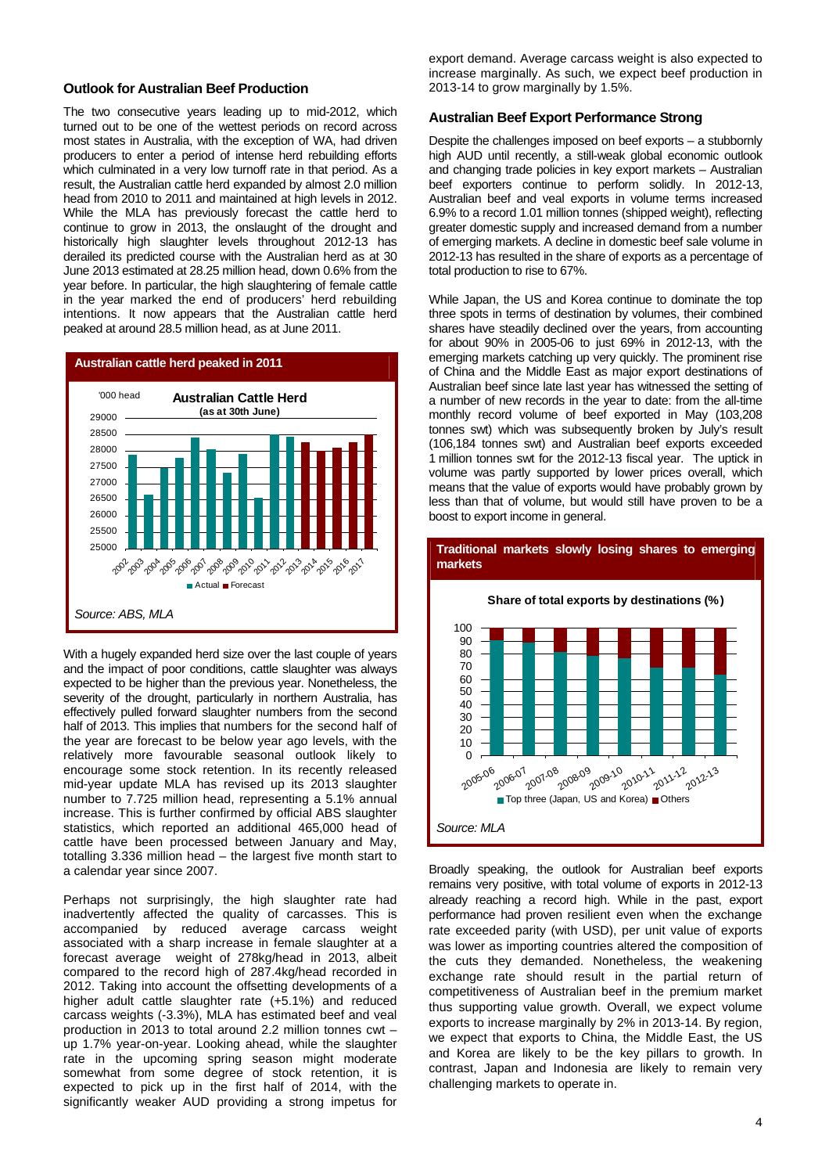#### **Outlook for Australian Beef Production**

The two consecutive years leading up to mid-2012, which turned out to be one of the wettest periods on record across most states in Australia, with the exception of WA, had driven producers to enter a period of intense herd rebuilding efforts which culminated in a very low turnoff rate in that period. As a result, the Australian cattle herd expanded by almost 2.0 million head from 2010 to 2011 and maintained at high levels in 2012. While the MLA has previously forecast the cattle herd to continue to grow in 2013, the onslaught of the drought and historically high slaughter levels throughout 2012-13 has derailed its predicted course with the Australian herd as at 30 June 2013 estimated at 28.25 million head, down 0.6% from the year before. In particular, the high slaughtering of female cattle in the year marked the end of producers' herd rebuilding intentions. It now appears that the Australian cattle herd peaked at around 28.5 million head, as at June 2011.



With a hugely expanded herd size over the last couple of years and the impact of poor conditions, cattle slaughter was always expected to be higher than the previous year. Nonetheless, the severity of the drought, particularly in northern Australia, has effectively pulled forward slaughter numbers from the second half of 2013. This implies that numbers for the second half of the year are forecast to be below year ago levels, with the relatively more favourable seasonal outlook likely to encourage some stock retention. In its recently released mid-year update MLA has revised up its 2013 slaughter number to 7.725 million head, representing a 5.1% annual increase. This is further confirmed by official ABS slaughter statistics, which reported an additional 465,000 head of cattle have been processed between January and May, totalling 3.336 million head – the largest five month start to a calendar year since 2007.

Perhaps not surprisingly, the high slaughter rate had inadvertently affected the quality of carcasses. This is accompanied by reduced average carcass weight associated with a sharp increase in female slaughter at a forecast average weight of 278kg/head in 2013, albeit compared to the record high of 287.4kg/head recorded in 2012. Taking into account the offsetting developments of a higher adult cattle slaughter rate (+5.1%) and reduced carcass weights (-3.3%), MLA has estimated beef and veal production in 2013 to total around 2.2 million tonnes cwt – up 1.7% year-on-year. Looking ahead, while the slaughter rate in the upcoming spring season might moderate somewhat from some degree of stock retention, it is expected to pick up in the first half of 2014, with the significantly weaker AUD providing a strong impetus for

export demand. Average carcass weight is also expected to increase marginally. As such, we expect beef production in 2013-14 to grow marginally by 1.5%.

### **Australian Beef Export Performance Strong**

Despite the challenges imposed on beef exports – a stubbornly high AUD until recently, a still-weak global economic outlook and changing trade policies in key export markets – Australian beef exporters continue to perform solidly. In 2012-13, Australian beef and veal exports in volume terms increased 6.9% to a record 1.01 million tonnes (shipped weight), reflecting greater domestic supply and increased demand from a number of emerging markets. A decline in domestic beef sale volume in 2012-13 has resulted in the share of exports as a percentage of total production to rise to 67%.

While Japan, the US and Korea continue to dominate the top three spots in terms of destination by volumes, their combined shares have steadily declined over the years, from accounting for about 90% in 2005-06 to just 69% in 2012-13, with the emerging markets catching up very quickly. The prominent rise of China and the Middle East as major export destinations of Australian beef since late last year has witnessed the setting of a number of new records in the year to date: from the all-time monthly record volume of beef exported in May (103,208 tonnes swt) which was subsequently broken by July's result (106,184 tonnes swt) and Australian beef exports exceeded 1 million tonnes swt for the 2012-13 fiscal year. The uptick in volume was partly supported by lower prices overall, which means that the value of exports would have probably grown by less than that of volume, but would still have proven to be a boost to export income in general.



Broadly speaking, the outlook for Australian beef exports remains very positive, with total volume of exports in 2012-13 already reaching a record high. While in the past, export performance had proven resilient even when the exchange rate exceeded parity (with USD), per unit value of exports was lower as importing countries altered the composition of the cuts they demanded. Nonetheless, the weakening exchange rate should result in the partial return of competitiveness of Australian beef in the premium market thus supporting value growth. Overall, we expect volume exports to increase marginally by 2% in 2013-14. By region, we expect that exports to China, the Middle East, the US and Korea are likely to be the key pillars to growth. In contrast, Japan and Indonesia are likely to remain very challenging markets to operate in.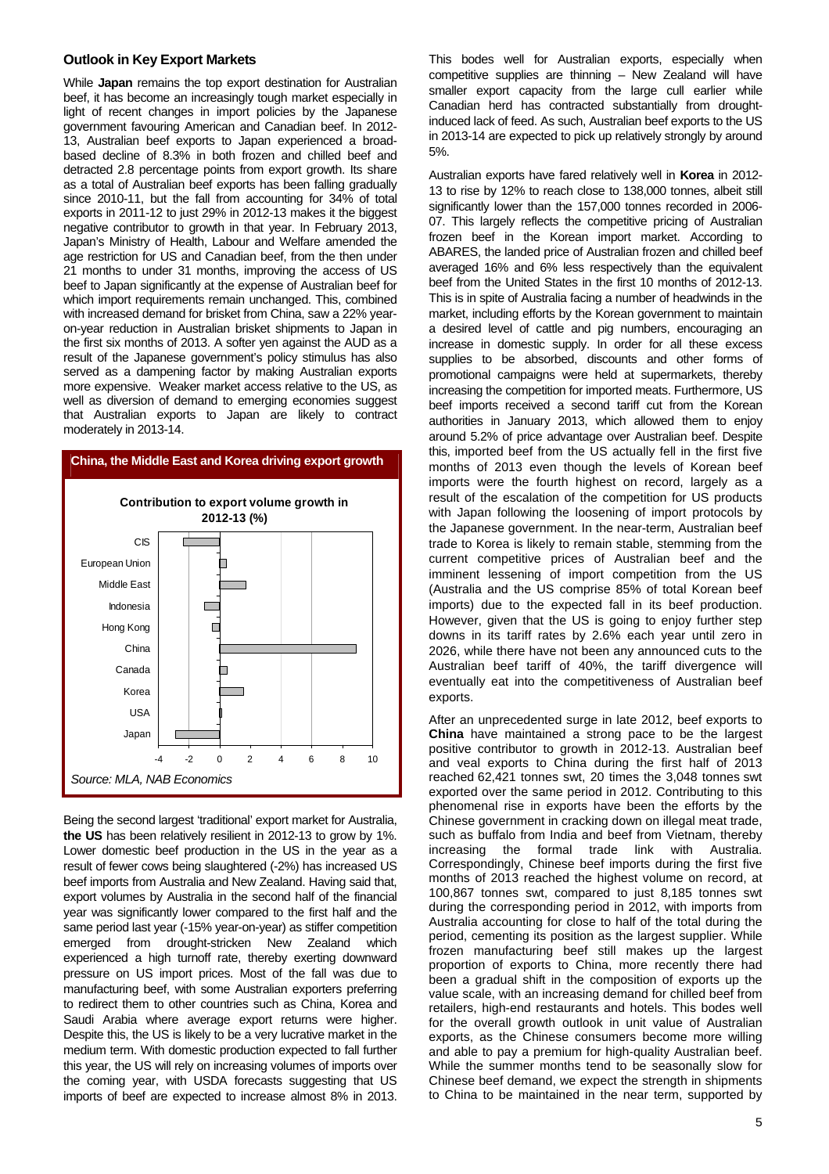#### **Outlook in Key Export Markets**

While **Japan** remains the top export destination for Australian beef, it has become an increasingly tough market especially in light of recent changes in import policies by the Japanese government favouring American and Canadian beef. In 2012- 13, Australian beef exports to Japan experienced a broadbased decline of 8.3% in both frozen and chilled beef and detracted 2.8 percentage points from export growth. Its share as a total of Australian beef exports has been falling gradually since 2010-11, but the fall from accounting for 34% of total exports in 2011-12 to just 29% in 2012-13 makes it the biggest negative contributor to growth in that year. In February 2013, Japan's Ministry of Health, Labour and Welfare amended the age restriction for US and Canadian beef, from the then under 21 months to under 31 months, improving the access of US beef to Japan significantly at the expense of Australian beef for which import requirements remain unchanged. This, combined with increased demand for brisket from China, saw a 22% yearon-year reduction in Australian brisket shipments to Japan in the first six months of 2013. A softer yen against the AUD as a result of the Japanese government's policy stimulus has also served as a dampening factor by making Australian exports more expensive. Weaker market access relative to the US, as well as diversion of demand to emerging economies suggest that Australian exports to Japan are likely to contract moderately in 2013-14.



Being the second largest 'traditional' export market for Australia, **the US** has been relatively resilient in 2012-13 to grow by 1%. Lower domestic beef production in the US in the year as a result of fewer cows being slaughtered (-2%) has increased US beef imports from Australia and New Zealand. Having said that, export volumes by Australia in the second half of the financial year was significantly lower compared to the first half and the same period last year (-15% year-on-year) as stiffer competition emerged from drought-stricken New Zealand which experienced a high turnoff rate, thereby exerting downward pressure on US import prices. Most of the fall was due to manufacturing beef, with some Australian exporters preferring to redirect them to other countries such as China, Korea and Saudi Arabia where average export returns were higher. Despite this, the US is likely to be a very lucrative market in the medium term. With domestic production expected to fall further this year, the US will rely on increasing volumes of imports over the coming year, with USDA forecasts suggesting that US imports of beef are expected to increase almost 8% in 2013.

This bodes well for Australian exports, especially when competitive supplies are thinning – New Zealand will have smaller export capacity from the large cull earlier while Canadian herd has contracted substantially from droughtinduced lack of feed. As such, Australian beef exports to the US in 2013-14 are expected to pick up relatively strongly by around 5%.

Australian exports have fared relatively well in **Korea** in 2012- 13 to rise by 12% to reach close to 138,000 tonnes, albeit still significantly lower than the 157,000 tonnes recorded in 2006- 07. This largely reflects the competitive pricing of Australian frozen beef in the Korean import market. According to ABARES, the landed price of Australian frozen and chilled beef averaged 16% and 6% less respectively than the equivalent beef from the United States in the first 10 months of 2012-13. This is in spite of Australia facing a number of headwinds in the market, including efforts by the Korean government to maintain a desired level of cattle and pig numbers, encouraging an increase in domestic supply. In order for all these excess supplies to be absorbed, discounts and other forms of promotional campaigns were held at supermarkets, thereby increasing the competition for imported meats. Furthermore, US beef imports received a second tariff cut from the Korean authorities in January 2013, which allowed them to enjoy around 5.2% of price advantage over Australian beef. Despite this, imported beef from the US actually fell in the first five months of 2013 even though the levels of Korean beef imports were the fourth highest on record, largely as a result of the escalation of the competition for US products with Japan following the loosening of import protocols by the Japanese government. In the near-term, Australian beef trade to Korea is likely to remain stable, stemming from the current competitive prices of Australian beef and the imminent lessening of import competition from the US (Australia and the US comprise 85% of total Korean beef imports) due to the expected fall in its beef production. However, given that the US is going to enjoy further step downs in its tariff rates by 2.6% each year until zero in 2026, while there have not been any announced cuts to the Australian beef tariff of 40%, the tariff divergence will eventually eat into the competitiveness of Australian beef exports.

After an unprecedented surge in late 2012, beef exports to **China** have maintained a strong pace to be the largest positive contributor to growth in 2012-13. Australian beef and veal exports to China during the first half of 2013 reached 62,421 tonnes swt, 20 times the 3,048 tonnes swt exported over the same period in 2012. Contributing to this phenomenal rise in exports have been the efforts by the Chinese government in cracking down on illegal meat trade, such as buffalo from India and beef from Vietnam, thereby increasing the formal trade link with Australia. Correspondingly, Chinese beef imports during the first five months of 2013 reached the highest volume on record, at 100,867 tonnes swt, compared to just 8,185 tonnes swt during the corresponding period in 2012, with imports from Australia accounting for close to half of the total during the period, cementing its position as the largest supplier. While frozen manufacturing beef still makes up the largest proportion of exports to China, more recently there had been a gradual shift in the composition of exports up the value scale, with an increasing demand for chilled beef from retailers, high-end restaurants and hotels. This bodes well for the overall growth outlook in unit value of Australian exports, as the Chinese consumers become more willing and able to pay a premium for high-quality Australian beef. While the summer months tend to be seasonally slow for Chinese beef demand, we expect the strength in shipments to China to be maintained in the near term, supported by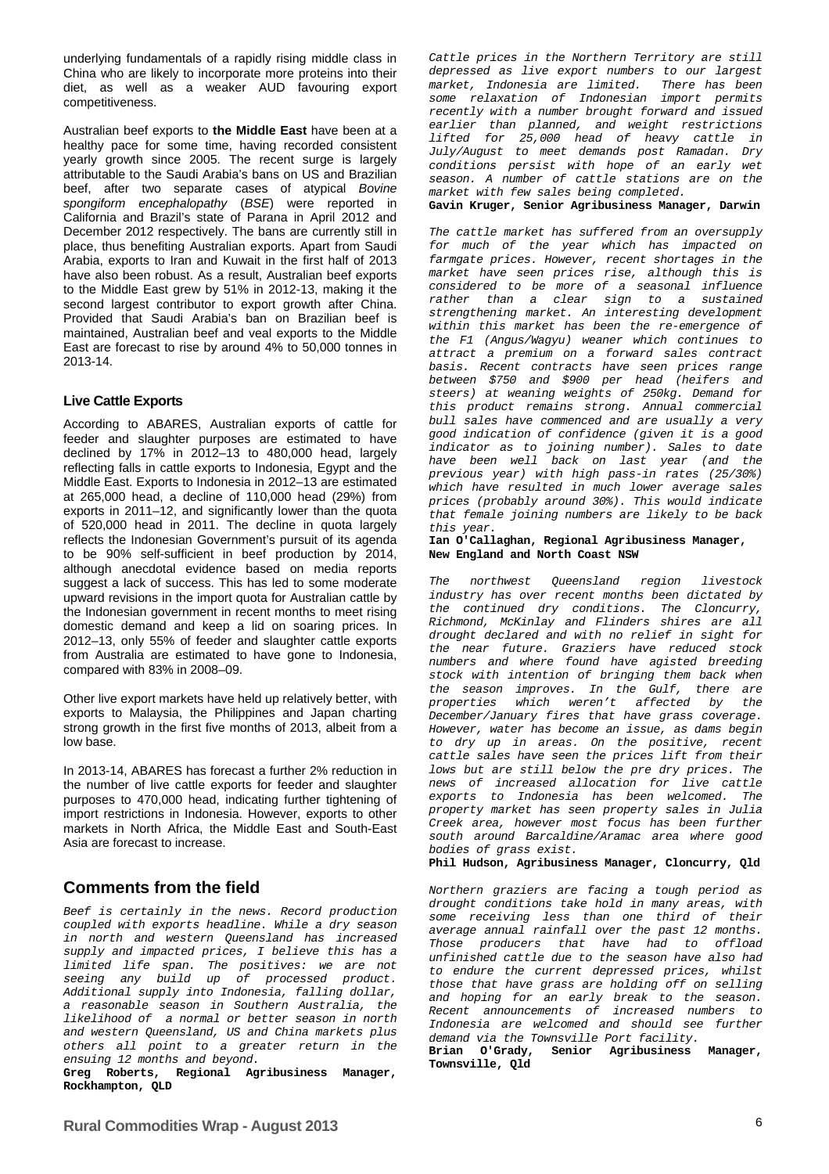underlying fundamentals of a rapidly rising middle class in China who are likely to incorporate more proteins into their diet, as well as a weaker AUD favouring export competitiveness.

Australian beef exports to **the Middle East** have been at a healthy pace for some time, having recorded consistent yearly growth since 2005. The recent surge is largely attributable to the Saudi Arabia's bans on US and Brazilian beef, after two separate cases of atypical *Bovine spongiform encephalopathy* (*BSE*) were reported in California and Brazil's state of Parana in April 2012 and December 2012 respectively. The bans are currently still in place, thus benefiting Australian exports. Apart from Saudi Arabia, exports to Iran and Kuwait in the first half of 2013 have also been robust. As a result, Australian beef exports to the Middle East grew by 51% in 2012-13, making it the second largest contributor to export growth after China. Provided that Saudi Arabia's ban on Brazilian beef is maintained, Australian beef and veal exports to the Middle East are forecast to rise by around 4% to 50,000 tonnes in 2013-14.

### **Live Cattle Exports**

According to ABARES, Australian exports of cattle for feeder and slaughter purposes are estimated to have declined by 17% in 2012–13 to 480,000 head, largely reflecting falls in cattle exports to Indonesia, Egypt and the Middle East. Exports to Indonesia in 2012–13 are estimated at 265,000 head, a decline of 110,000 head (29%) from exports in 2011–12, and significantly lower than the quota of 520,000 head in 2011. The decline in quota largely reflects the Indonesian Government's pursuit of its agenda to be 90% self-sufficient in beef production by 2014, although anecdotal evidence based on media reports suggest a lack of success. This has led to some moderate upward revisions in the import quota for Australian cattle by the Indonesian government in recent months to meet rising domestic demand and keep a lid on soaring prices. In 2012–13, only 55% of feeder and slaughter cattle exports from Australia are estimated to have gone to Indonesia, compared with 83% in 2008–09.

Other live export markets have held up relatively better, with exports to Malaysia, the Philippines and Japan charting strong growth in the first five months of 2013, albeit from a low base.

In 2013-14, ABARES has forecast a further 2% reduction in the number of live cattle exports for feeder and slaughter purposes to 470,000 head, indicating further tightening of import restrictions in Indonesia. However, exports to other markets in North Africa, the Middle East and South-East Asia are forecast to increase.

*Beef is certainly in the news. Record production coupled with exports headline. While a dry season in north and western Queensland has increased supply and impacted prices, I believe this has a limited life span. The positives: we are not seeing any build up of processed product. Additional supply into Indonesia, falling dollar, a reasonable season in Southern Australia, the likelihood of a normal or better season in north and western Queensland, US and China markets plus others all point to a greater return in the* 

Greg Roberts, Regional Agribusiness Manager, **Rockhampton, QLD** 

*Cattle prices in the Northern Territory are still depressed as live export numbers to our largest market, Indonesia are limited. There has been some relaxation of Indonesian import permits recently with a number brought forward and issued earlier than planned, and weight restrictions lifted for 25,000 head of heavy cattle in July/August to meet demands post Ramadan. Dry conditions persist with hope of an early wet season. A number of cattle stations are on the market with few sales being completed.* 

**Gavin Kruger, Senior Agribusiness Manager, Darwin** 

*The cattle market has suffered from an oversupply for much of the year which has impacted on farmgate prices. However, recent shortages in the market have seen prices rise, although this is considered to be more of a seasonal influence rather than a clear sign to a sustained strengthening market. An interesting development within this market has been the re-emergence of the F1 (Angus/Wagyu) weaner which continues to attract a premium on a forward sales contract basis. Recent contracts have seen prices range between \$750 and \$900 per head (heifers and steers) at weaning weights of 250kg. Demand for this product remains strong. Annual commercial bull sales have commenced and are usually a very good indication of confidence (given it is a good indicator as to joining number). Sales to date have been well back on last year (and the previous year) with high pass-in rates (25/30%) which have resulted in much lower average sales prices (probably around 30%). This would indicate that female joining numbers are likely to be back this year.* 

**Ian O'Callaghan, Regional Agribusiness Manager, New England and North Coast NSW** 

*The northwest Queensland region livestock industry has over recent months been dictated by the continued dry conditions. The Cloncurry, Richmond, McKinlay and Flinders shires are all drought declared and with no relief in sight for the near future. Graziers have reduced stock numbers and where found have agisted breeding stock with intention of bringing them back when the season improves. In the Gulf, there are properties which weren't affected by the December/January fires that have grass coverage. However, water has become an issue, as dams begin to dry up in areas. On the positive, recent cattle sales have seen the prices lift from their*  lows but are still below the pre dry prices. The *news of increased allocation for live cattle exports to Indonesia has been welcomed. The property market has seen property sales in Julia Creek area, however most focus has been further south around Barcaldine/Aramac area where good bodies of grass exist.* 

**Phil Hudson, Agribusiness Manager, Cloncurry, Qld** 

**Comments from the field** *Northern graziers are facing a tough period as* **<b>Comments** *drought conditions take hold in many areas, with some receiving less than one third of their average annual rainfall over the past 12 months. Those producers that have had to offload unfinished cattle due to the season have also had to endure the current depressed prices, whilst those that have grass are holding off on selling and hoping for an early break to the season. Recent announcements of increased numbers to Indonesia are welcomed and should see further demand via the Townsville Port facility.* 

**Brian O'Grady, Senior Agribusiness Manager, Townsville, Qld**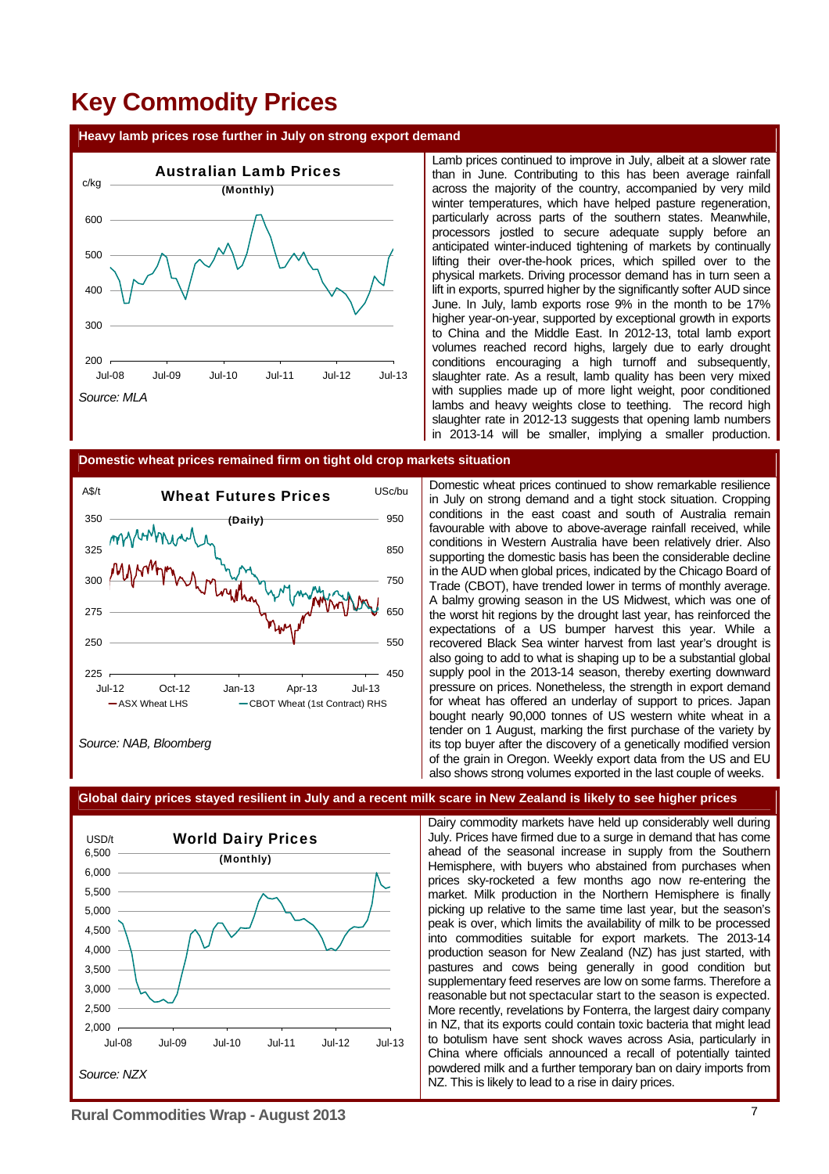### **Key Commodity Prices**

#### **Heavy lamb prices rose further in July on strong export demand**



Lamb prices continued to improve in July, albeit at a slower rate than in June. Contributing to this has been average rainfall across the majority of the country, accompanied by very mild winter temperatures, which have helped pasture regeneration, particularly across parts of the southern states. Meanwhile, processors jostled to secure adequate supply before an anticipated winter-induced tightening of markets by continually lifting their over-the-hook prices, which spilled over to the physical markets. Driving processor demand has in turn seen a lift in exports, spurred higher by the significantly softer AUD since June. In July, lamb exports rose 9% in the month to be 17% higher year-on-year, supported by exceptional growth in exports to China and the Middle East. In 2012-13, total lamb export volumes reached record highs, largely due to early drought conditions encouraging a high turnoff and subsequently, slaughter rate. As a result, lamb quality has been very mixed with supplies made up of more light weight, poor conditioned lambs and heavy weights close to teething. The record high slaughter rate in 2012-13 suggests that opening lamb numbers in 2013-14 will be smaller, implying a smaller production.

#### **Domestic wheat prices remained firm on tight old crop markets situation**



*Source: NAB, Bloomberg* 

Domestic wheat prices continued to show remarkable resilience in July on strong demand and a tight stock situation. Cropping conditions in the east coast and south of Australia remain favourable with above to above-average rainfall received, while conditions in Western Australia have been relatively drier. Also supporting the domestic basis has been the considerable decline in the AUD when global prices, indicated by the Chicago Board of Trade (CBOT), have trended lower in terms of monthly average. A balmy growing season in the US Midwest, which was one of the worst hit regions by the drought last year, has reinforced the expectations of a US bumper harvest this year. While a recovered Black Sea winter harvest from last year's drought is also going to add to what is shaping up to be a substantial global supply pool in the 2013-14 season, thereby exerting downward pressure on prices. Nonetheless, the strength in export demand for wheat has offered an underlay of support to prices. Japan bought nearly 90,000 tonnes of US western white wheat in a tender on 1 August, marking the first purchase of the variety by its top buyer after the discovery of a genetically modified version of the grain in Oregon. Weekly export data from the US and EU also shows strong volumes exported in the last couple of weeks.



### **Global dairy prices stayed resilient in July and a recent milk scare in New Zealand is likely to see higher prices**

Dairy commodity markets have held up considerably well during July. Prices have firmed due to a surge in demand that has come ahead of the seasonal increase in supply from the Southern Hemisphere, with buyers who abstained from purchases when prices sky-rocketed a few months ago now re-entering the market. Milk production in the Northern Hemisphere is finally picking up relative to the same time last year, but the season's peak is over, which limits the availability of milk to be processed into commodities suitable for export markets. The 2013-14 production season for New Zealand (NZ) has just started, with pastures and cows being generally in good condition but supplementary feed reserves are low on some farms. Therefore a reasonable but not spectacular start to the season is expected. More recently, revelations by Fonterra, the largest dairy company in NZ, that its exports could contain toxic bacteria that might lead to botulism have sent shock waves across Asia, particularly in China where officials announced a recall of potentially tainted powdered milk and a further temporary ban on dairy imports from NZ. This is likely to lead to a rise in dairy prices.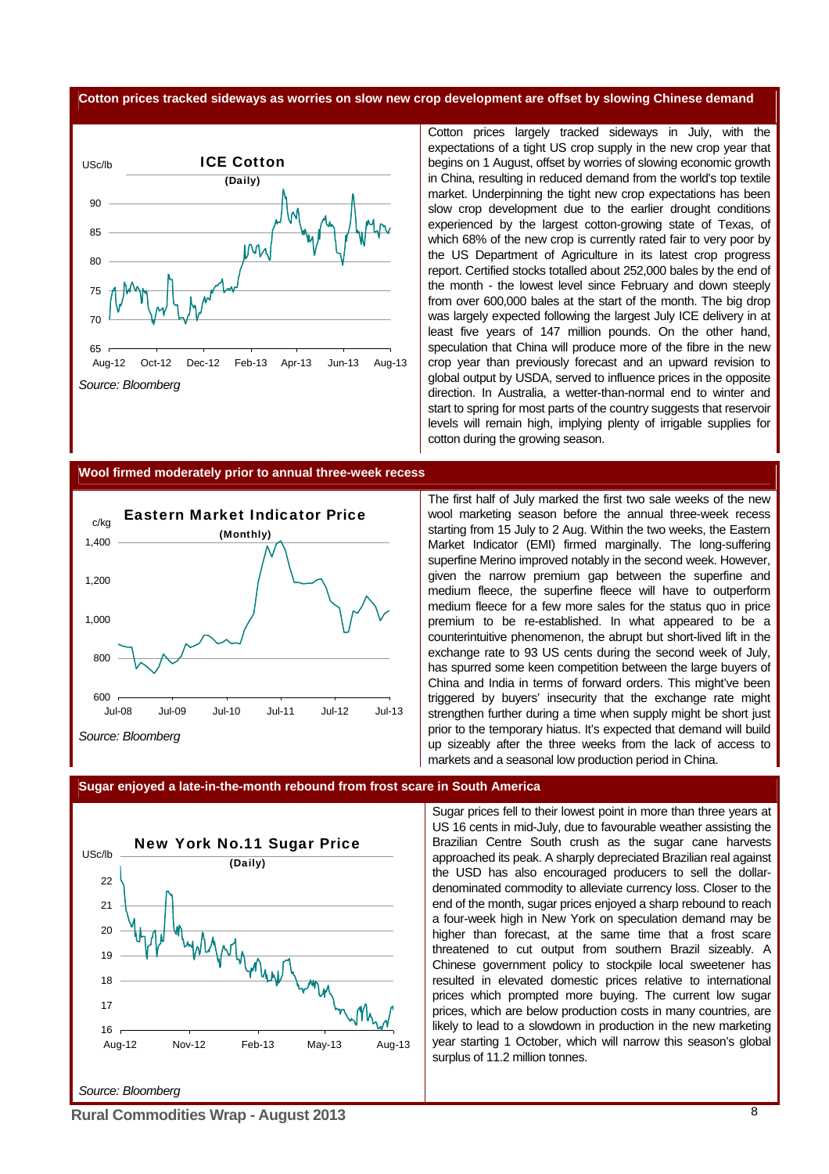### **Cotton prices tracked sideways as worries on slow new crop development are offset by slowing Chinese demand**



Cotton prices largely tracked sideways in July, with the expectations of a tight US crop supply in the new crop year that begins on 1 August, offset by worries of slowing economic growth in China, resulting in reduced demand from the world's top textile market. Underpinning the tight new crop expectations has been slow crop development due to the earlier drought conditions experienced by the largest cotton-growing state of Texas, of which 68% of the new crop is currently rated fair to very poor by the US Department of Agriculture in its latest crop progress report. Certified stocks totalled about 252,000 bales by the end of the month - the lowest level since February and down steeply from over 600,000 bales at the start of the month. The big drop was largely expected following the largest July ICE delivery in at least five years of 147 million pounds. On the other hand, speculation that China will produce more of the fibre in the new crop year than previously forecast and an upward revision to global output by USDA, served to influence prices in the opposite direction. In Australia, a wetter-than-normal end to winter and start to spring for most parts of the country suggests that reservoir levels will remain high, implying plenty of irrigable supplies for cotton during the growing season.

#### **Wool firmed moderately prior to annual three-week recess**



The first half of July marked the first two sale weeks of the new wool marketing season before the annual three-week recess starting from 15 July to 2 Aug. Within the two weeks, the Eastern Market Indicator (EMI) firmed marginally. The long-suffering superfine Merino improved notably in the second week. However, given the narrow premium gap between the superfine and medium fleece, the superfine fleece will have to outperform medium fleece for a few more sales for the status quo in price premium to be re-established. In what appeared to be a counterintuitive phenomenon, the abrupt but short-lived lift in the exchange rate to 93 US cents during the second week of July, has spurred some keen competition between the large buyers of China and India in terms of forward orders. This might've been triggered by buyers' insecurity that the exchange rate might strengthen further during a time when supply might be short just prior to the temporary hiatus. It's expected that demand will build up sizeably after the three weeks from the lack of access to markets and a seasonal low production period in China.

#### **Sugar enjoyed a late-in-the-month rebound from frost scare in South America**



Sugar prices fell to their lowest point in more than three years at US 16 cents in mid-July, due to favourable weather assisting the Brazilian Centre South crush as the sugar cane harvests approached its peak. A sharply depreciated Brazilian real against the USD has also encouraged producers to sell the dollardenominated commodity to alleviate currency loss. Closer to the end of the month, sugar prices enjoyed a sharp rebound to reach a four-week high in [New York](http://topics.bloomberg.com/new-york/) on speculation demand may be higher than forecast, at the same time that a frost scare threatened to cut output from southern Brazil sizeably. A Chinese government policy to stockpile local sweetener has resulted in elevated domestic prices relative to international prices which prompted more buying. The current low sugar prices, which are below production costs in many countries, are likely to lead to a slowdown in production in the new marketing year starting 1 October, which will narrow this season's global surplus of 11.2 million tonnes.

**Rural Commodities Wrap - August 2013** 8